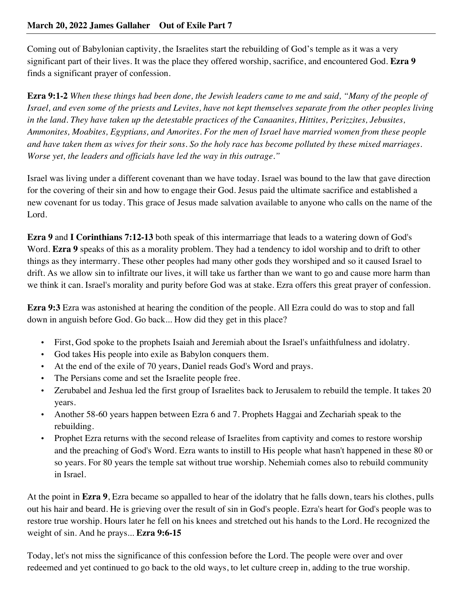Coming out of Babylonian captivity, the Israelites start the rebuilding of God's temple as it was a very significant part of their lives. It was the place they offered worship, sacrifice, and encountered God. **Ezra 9** finds a significant prayer of confession.

**Ezra 9:1-2** *When these things had been done, the Jewish leaders came to me and said, "Many of the people of Israel, and even some of the priests and Levites, have not kept themselves separate from the other peoples living in the land. They have taken up the detestable practices of the Canaanites, Hittites, Perizzites, Jebusites, Ammonites, Moabites, Egyptians, and Amorites. For the men of Israel have married women from these people and have taken them as wives for their sons. So the holy race has become polluted by these mixed marriages. Worse yet, the leaders and officials have led the way in this outrage."*

Israel was living under a different covenant than we have today. Israel was bound to the law that gave direction for the covering of their sin and how to engage their God. Jesus paid the ultimate sacrifice and established a new covenant for us today. This grace of Jesus made salvation available to anyone who calls on the name of the Lord.

**Ezra 9** and **I Corinthians 7:12-13** both speak of this intermarriage that leads to a watering down of God's Word. **Ezra 9** speaks of this as a morality problem. They had a tendency to idol worship and to drift to other things as they intermarry. These other peoples had many other gods they worshiped and so it caused Israel to drift. As we allow sin to infiltrate our lives, it will take us farther than we want to go and cause more harm than we think it can. Israel's morality and purity before God was at stake. Ezra offers this great prayer of confession.

**Ezra 9:3** Ezra was astonished at hearing the condition of the people. All Ezra could do was to stop and fall down in anguish before God. Go back... How did they get in this place?

- First, God spoke to the prophets Isaiah and Jeremiah about the Israel's unfaithfulness and idolatry.
- God takes His people into exile as Babylon conquers them.
- At the end of the exile of 70 years, Daniel reads God's Word and prays.
- The Persians come and set the Israelite people free.
- Zerubabel and Jeshua led the first group of Israelites back to Jerusalem to rebuild the temple. It takes 20 years.
- Another 58-60 years happen between Ezra 6 and 7. Prophets Haggai and Zechariah speak to the rebuilding.
- Prophet Ezra returns with the second release of Israelites from captivity and comes to restore worship and the preaching of God's Word. Ezra wants to instill to His people what hasn't happened in these 80 or so years. For 80 years the temple sat without true worship. Nehemiah comes also to rebuild community in Israel.

At the point in **Ezra 9**, Ezra became so appalled to hear of the idolatry that he falls down, tears his clothes, pulls out his hair and beard. He is grieving over the result of sin in God's people. Ezra's heart for God's people was to restore true worship. Hours later he fell on his knees and stretched out his hands to the Lord. He recognized the weight of sin. And he prays... **Ezra 9:6-15** 

Today, let's not miss the significance of this confession before the Lord. The people were over and over redeemed and yet continued to go back to the old ways, to let culture creep in, adding to the true worship.